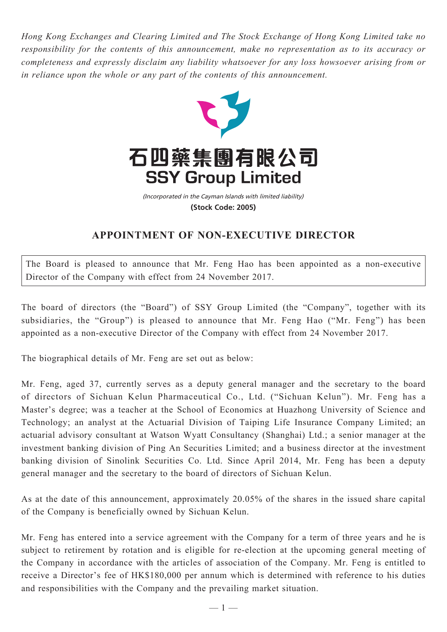*Hong Kong Exchanges and Clearing Limited and The Stock Exchange of Hong Kong Limited take no responsibility for the contents of this announcement, make no representation as to its accuracy or completeness and expressly disclaim any liability whatsoever for any loss howsoever arising from or in reliance upon the whole or any part of the contents of this announcement.*



(Incorporated in the Cayman Islands with limited liability) **(Stock Code: 2005)**

## **APPOINTMENT OF NON-EXECUTIVE DIRECTOR**

The Board is pleased to announce that Mr. Feng Hao has been appointed as a non-executive Director of the Company with effect from 24 November 2017.

The board of directors (the "Board") of SSY Group Limited (the "Company", together with its subsidiaries, the "Group") is pleased to announce that Mr. Feng Hao ("Mr. Feng") has been appointed as a non-executive Director of the Company with effect from 24 November 2017.

The biographical details of Mr. Feng are set out as below:

Mr. Feng, aged 37, currently serves as a deputy general manager and the secretary to the board of directors of Sichuan Kelun Pharmaceutical Co., Ltd. ("Sichuan Kelun"). Mr. Feng has a Master's degree; was a teacher at the School of Economics at Huazhong University of Science and Technology; an analyst at the Actuarial Division of Taiping Life Insurance Company Limited; an actuarial advisory consultant at Watson Wyatt Consultancy (Shanghai) Ltd.; a senior manager at the investment banking division of Ping An Securities Limited; and a business director at the investment banking division of Sinolink Securities Co. Ltd. Since April 2014, Mr. Feng has been a deputy general manager and the secretary to the board of directors of Sichuan Kelun.

As at the date of this announcement, approximately 20.05% of the shares in the issued share capital of the Company is beneficially owned by Sichuan Kelun.

Mr. Feng has entered into a service agreement with the Company for a term of three years and he is subject to retirement by rotation and is eligible for re-election at the upcoming general meeting of the Company in accordance with the articles of association of the Company. Mr. Feng is entitled to receive a Director's fee of HK\$180,000 per annum which is determined with reference to his duties and responsibilities with the Company and the prevailing market situation.